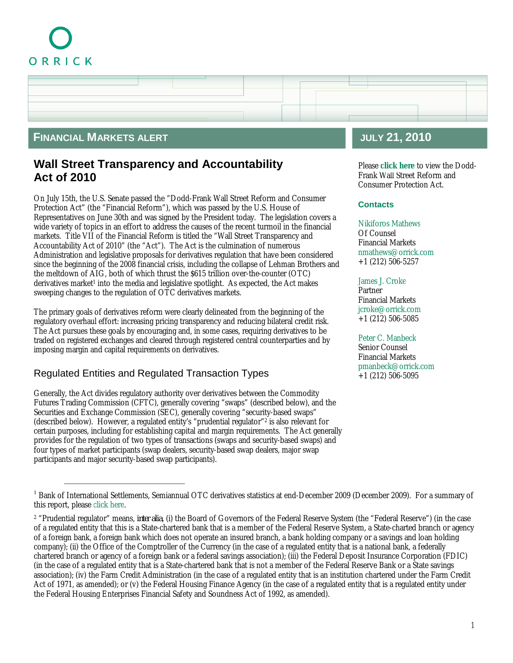# ORRICK



### **FINANCIAL MARKETS ALERT**

# **Wall Street Transparency and Accountability Act of 2010**

On July 15th, the U.S. Senate passed the "Dodd-Frank Wall Street Reform and Consumer Protection Act" (the "Financial Reform"), which was passed by the U.S. House of Representatives on June 30th and was signed by the President today. The legislation covers a wide variety of topics in an effort to address the causes of the recent turmoil in the financial markets. Title VII of the Financial Reform is titled the "Wall Street Transparency and Accountability Act of 2010" (the "Act"). The Act is the culmination of numerous Administration and legislative proposals for derivatives regulation that have been considered since the beginning of the 2008 financial crisis, including the collapse of Lehman Brothers and the meltdown of AIG, both of which thrust the \$615 trillion over-the-counter (OTC) derivatives market<sup>1</sup> into the media and legislative spotlight. As expected, the Act makes sweeping changes to the regulation of OTC derivatives markets.

The primary goals of derivatives reform were clearly delineated from the beginning of the regulatory overhaul effort: increasing pricing transparency and reducing bilateral credit risk. The Act pursues these goals by encouraging and, in some cases, requiring derivatives to be traded on registered exchanges and cleared through registered central counterparties and by imposing margin and capital requirements on derivatives.

# Regulated Entities and Regulated Transaction Types

Generally, the Act divides regulatory authority over derivatives between the Commodity Futures Trading Commission (CFTC), generally covering "swaps" (described below), and the Securities and Exchange Commission (SEC), generally covering "security-based swaps" (described below). However, a regulated entity's "prudential regulator"<sup>2</sup> is also relevant for certain purposes, including for establishing capital and margin requirements. The Act generally provides for the regulation of two types of transactions (swaps and security-based swaps) and four types of market participants (swap dealers, security-based swap dealers, major swap participants and major security-based swap participants).

# **JULY 21, 2010**

Please **[click here](http://reaction.orrick.com/reaction/email/pdf/Dodd-Frank.pdf)** to view the Dodd-Frank Wall Street Reform and Consumer Protection Act.

#### **Contacts**

[Nikiforos Mathews](http://www.orrick.com/lawyers/Bio.asp?ID=198041) Of Counsel Financial Markets nmathews@orrick.com +1 (212) 506-5257

#### [James J. Croke](http://www.orrick.com/lawyers/Bio.asp?ID=185311)

Partner Financial Markets jcroke@orrick.com +1 (212) 506-5085

[Peter C. Manbeck](http://www.orrick.com/lawyers/Bio.asp?ID=185330) Senior Counsel Financial Markets pmanbeck@orrick.com +1 (212) 506-5095

<sup>&</sup>lt;sup>1</sup> Bank of International Settlements, Semiannual OTC derivatives statistics at end-December 2009 (December 2009). For a summary of this report, please [click here](http://www.orrick.com/fileupload/2644.htm).

<sup>&</sup>lt;sup>2</sup> "Prudential regulator" means, inter alia, (i) the Board of Governors of the Federal Reserve System (the "Federal Reserve") (in the case of a regulated entity that this is a State-chartered bank that is a member of the Federal Reserve System, a State-charted branch or agency of a foreign bank, a foreign bank which does not operate an insured branch, a bank holding company or a savings and loan holding company); (ii) the Office of the Comptroller of the Currency (in the case of a regulated entity that is a national bank, a federally chartered branch or agency of a foreign bank or a federal savings association); (iii) the Federal Deposit Insurance Corporation (FDIC) (in the case of a regulated entity that is a State-chartered bank that is not a member of the Federal Reserve Bank or a State savings association); (iv) the Farm Credit Administration (in the case of a regulated entity that is an institution chartered under the Farm Credit Act of 1971, as amended); or (v) the Federal Housing Finance Agency (in the case of a regulated entity that is a regulated entity under the Federal Housing Enterprises Financial Safety and Soundness Act of 1992, as amended).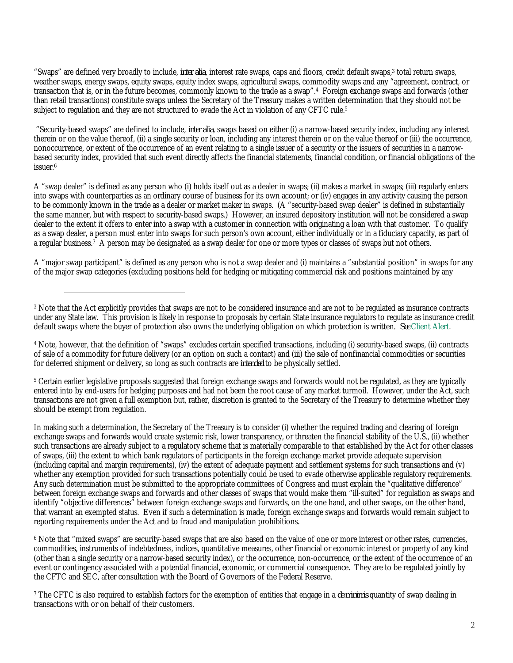"Swaps" are defined very broadly to include, inter alia, interest rate swaps, caps and floors, credit default swaps,<sup>3</sup> total return swaps, weather swaps, energy swaps, equity swaps, equity index swaps, agricultural swaps, commodity swaps and any "agreement, contract, or transaction that is, or in the future becomes, commonly known to the trade as a swap".<sup>4</sup> Foreign exchange swaps and forwards (other than retail transactions) constitute swaps unless the Secretary of the Treasury makes a written determination that they should not be subject to regulation and they are not structured to evade the Act in violation of any CFTC rule.<sup>5</sup>

"Security-based swaps" are defined to include, *inter alia*, swaps based on either (i) a narrow-based security index, including any interest therein or on the value thereof, (ii) a single security or loan, including any interest therein or on the value thereof or (iii) the occurrence, nonoccurrence, or extent of the occurrence of an event relating to a single issuer of a security or the issuers of securities in a narrowbased security index, provided that such event directly affects the financial statements, financial condition, or financial obligations of the issuer.<sup>6</sup>

A "swap dealer" is defined as any person who (i) holds itself out as a dealer in swaps; (ii) makes a market in swaps; (iii) regularly enters into swaps with counterparties as an ordinary course of business for its own account; or (iv) engages in any activity causing the person to be commonly known in the trade as a dealer or market maker in swaps. (A "security-based swap dealer" is defined in substantially the same manner, but with respect to security-based swaps.) However, an insured depository institution will not be considered a swap dealer to the extent it offers to enter into a swap with a customer in connection with originating a loan with that customer. To qualify as a swap dealer, a person must enter into swaps for such person's own account, either individually or in a fiduciary capacity, as part of a regular business.<sup>7</sup> A person may be designated as a swap dealer for one or more types or classes of swaps but not others.

A "major swap participant" is defined as any person who is not a swap dealer and (i) maintains a "substantial position" in swaps for any of the major swap categories (excluding positions held for hedging or mitigating commercial risk and positions maintained by any

<sup>4</sup> Note, however, that the definition of "swaps" excludes certain specified transactions, including (i) security-based swaps, (ii) contracts of sale of a commodity for future delivery (or an option on such a contact) and (iii) the sale of nonfinancial commodities or securities for deferred shipment or delivery, so long as such contracts are *intended* to be physically settled.

<sup>5</sup> Certain earlier legislative proposals suggested that foreign exchange swaps and forwards would not be regulated, as they are typically entered into by end-users for hedging purposes and had not been the root cause of any market turmoil. However, under the Act, such transactions are not given a full exemption but, rather, discretion is granted to the Secretary of the Treasury to determine whether they should be exempt from regulation.

In making such a determination, the Secretary of the Treasury is to consider (i) whether the required trading and clearing of foreign exchange swaps and forwards would create systemic risk, lower transparency, or threaten the financial stability of the U.S., (ii) whether such transactions are already subject to a regulatory scheme that is materially comparable to that established by the Act for other classes of swaps, (iii) the extent to which bank regulators of participants in the foreign exchange market provide adequate supervision (including capital and margin requirements), (iv) the extent of adequate payment and settlement systems for such transactions and (v) whether any exemption provided for such transactions potentially could be used to evade otherwise applicable regulatory requirements. Any such determination must be submitted to the appropriate committees of Congress and must explain the "qualitative difference" between foreign exchange swaps and forwards and other classes of swaps that would make them "ill-suited" for regulation as swaps and identify "objective differences" between foreign exchange swaps and forwards, on the one hand, and other swaps, on the other hand, that warrant an exempted status. Even if such a determination is made, foreign exchange swaps and forwards would remain subject to reporting requirements under the Act and to fraud and manipulation prohibitions.

<sup>6</sup> Note that "mixed swaps" are security-based swaps that are also based on the value of one or more interest or other rates, currencies, commodities, instruments of indebtedness, indices, quantitative measures, other financial or economic interest or property of any kind (other than a single security or a narrow-based security index), or the occurrence, non-occurrence, or the extent of the occurrence of an event or contingency associated with a potential financial, economic, or commercial consequence. They are to be regulated jointly by the CFTC and SEC, after consultation with the Board of Governors of the Federal Reserve.

<sup>7</sup> The CFTC is also required to establish factors for the exemption of entities that engage in a *de minimis* quantity of swap dealing in transactions with or on behalf of their customers.

<sup>3</sup> Note that the Act explicitly provides that swaps are not to be considered insurance and are not to be regulated as insurance contracts under any State law. This provision is likely in response to proposals by certain State insurance regulators to regulate as insurance credit default swaps where the buyer of protection also owns the underlying obligation on which protection is written. *See* [Client Alert.](http://www.orrick.com/fileupload/1539.pdf)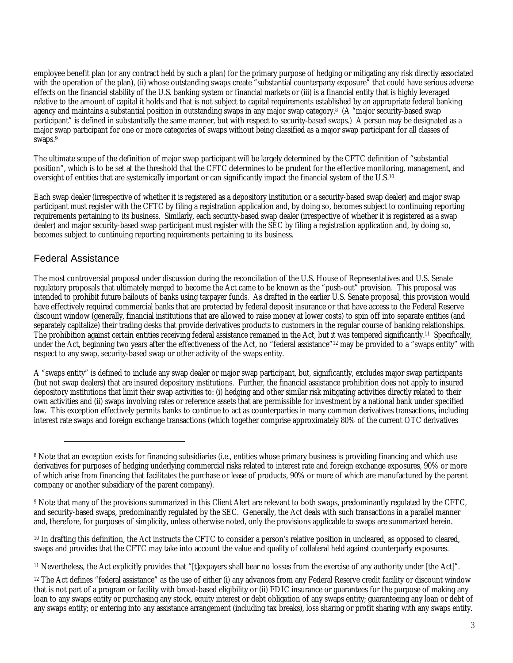employee benefit plan (or any contract held by such a plan) for the primary purpose of hedging or mitigating any risk directly associated with the operation of the plan), (ii) whose outstanding swaps create "substantial counterparty exposure" that could have serious adverse effects on the financial stability of the U.S. banking system or financial markets or (iii) is a financial entity that is highly leveraged relative to the amount of capital it holds and that is not subject to capital requirements established by an appropriate federal banking agency and maintains a substantial position in outstanding swaps in any major swap category.<sup>8</sup> (A "major security-based swap participant" is defined in substantially the same manner, but with respect to security-based swaps.) A person may be designated as a major swap participant for one or more categories of swaps without being classified as a major swap participant for all classes of swaps.<sup>9</sup>

The ultimate scope of the definition of major swap participant will be largely determined by the CFTC definition of "substantial position", which is to be set at the threshold that the CFTC determines to be prudent for the effective monitoring, management, and oversight of entities that are systemically important or can significantly impact the financial system of the U.S.<sup>10</sup>

Each swap dealer (irrespective of whether it is registered as a depository institution or a security-based swap dealer) and major swap participant must register with the CFTC by filing a registration application and, by doing so, becomes subject to continuing reporting requirements pertaining to its business. Similarly, each security-based swap dealer (irrespective of whether it is registered as a swap dealer) and major security-based swap participant must register with the SEC by filing a registration application and, by doing so, becomes subject to continuing reporting requirements pertaining to its business.

#### Federal Assistance

The most controversial proposal under discussion during the reconciliation of the U.S. House of Representatives and U.S. Senate regulatory proposals that ultimately merged to become the Act came to be known as the "push-out" provision. This proposal was intended to prohibit future bailouts of banks using taxpayer funds. As drafted in the earlier U.S. Senate proposal, this provision would have effectively required commercial banks that are protected by federal deposit insurance or that have access to the Federal Reserve discount window (generally, financial institutions that are allowed to raise money at lower costs) to spin off into separate entities (and separately capitalize) their trading desks that provide derivatives products to customers in the regular course of banking relationships. The prohibition against certain entities receiving federal assistance remained in the Act, but it was tempered significantly.<sup>11</sup> Specifically, under the Act, beginning two years after the effectiveness of the Act, no "federal assistance"<sup>12</sup> may be provided to a "swaps entity" with respect to any swap, security-based swap or other activity of the swaps entity.

A "swaps entity" is defined to include any swap dealer or major swap participant, but, significantly, excludes major swap participants (but not swap dealers) that are insured depository institutions. Further, the financial assistance prohibition does not apply to insured depository institutions that limit their swap activities to: (i) hedging and other similar risk mitigating activities directly related to their own activities and (ii) swaps involving rates or reference assets that are permissible for investment by a national bank under specified law. This exception effectively permits banks to continue to act as counterparties in many common derivatives transactions, including interest rate swaps and foreign exchange transactions (which together comprise approximately 80% of the current OTC derivatives

9 Note that many of the provisions summarized in this Client Alert are relevant to both swaps, predominantly regulated by the CFTC, and security-based swaps, predominantly regulated by the SEC. Generally, the Act deals with such transactions in a parallel manner and, therefore, for purposes of simplicity, unless otherwise noted, only the provisions applicable to swaps are summarized herein.

<sup>10</sup> In drafting this definition, the Act instructs the CFTC to consider a person's relative position in uncleared, as opposed to cleared, swaps and provides that the CFTC may take into account the value and quality of collateral held against counterparty exposures.

<sup>11</sup> Nevertheless, the Act explicitly provides that "[t]axpayers shall bear no losses from the exercise of any authority under [the Act]".

<sup>12</sup> The Act defines "federal assistance" as the use of either (i) any advances from any Federal Reserve credit facility or discount window that is not part of a program or facility with broad-based eligibility or (ii) FDIC insurance or guarantees for the purpose of making any loan to any swaps entity or purchasing any stock, equity interest or debt obligation of any swaps entity; guaranteeing any loan or debt of any swaps entity; or entering into any assistance arrangement (including tax breaks), loss sharing or profit sharing with any swaps entity.

<sup>&</sup>lt;sup>8</sup> Note that an exception exists for financing subsidiaries (i.e., entities whose primary business is providing financing and which use derivatives for purposes of hedging underlying commercial risks related to interest rate and foreign exchange exposures, 90% or more of which arise from financing that facilitates the purchase or lease of products, 90% or more of which are manufactured by the parent company or another subsidiary of the parent company).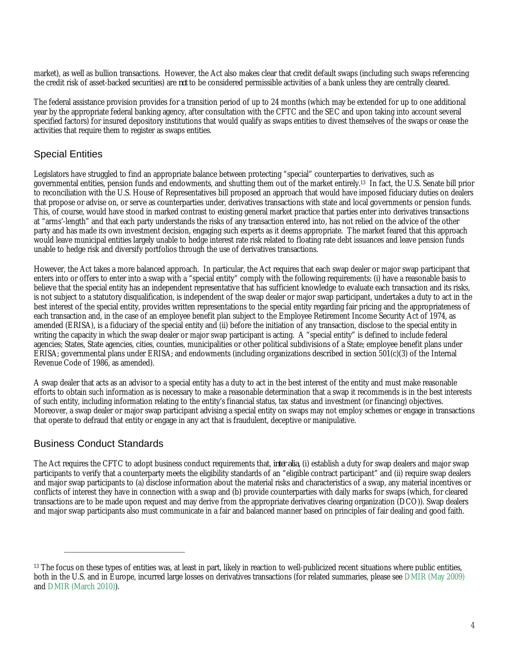market), as well as bullion transactions. However, the Act also makes clear that credit default swaps (including such swaps referencing the credit risk of asset-backed securities) are *not* to be considered permissible activities of a bank unless they are centrally cleared.

The federal assistance provision provides for a transition period of up to 24 months (which may be extended for up to one additional year by the appropriate federal banking agency, after consultation with the CFTC and the SEC and upon taking into account several specified factors) for insured depository institutions that would qualify as swaps entities to divest themselves of the swaps or cease the activities that require them to register as swaps entities.

# Special Entities

Legislators have struggled to find an appropriate balance between protecting "special" counterparties to derivatives, such as governmental entities, pension funds and endowments, and shutting them out of the market entirely.<sup>13</sup> In fact, the U.S. Senate bill prior to reconciliation with the U.S. House of Representatives bill proposed an approach that would have imposed fiduciary duties on dealers that propose or advise on, or serve as counterparties under, derivatives transactions with state and local governments or pension funds. This, of course, would have stood in marked contrast to existing general market practice that parties enter into derivatives transactions at "arms'-length" and that each party understands the risks of any transaction entered into, has not relied on the advice of the other party and has made its own investment decision, engaging such experts as it deems appropriate. The market feared that this approach would leave municipal entities largely unable to hedge interest rate risk related to floating rate debt issuances and leave pension funds unable to hedge risk and diversify portfolios through the use of derivatives transactions.

However, the Act takes a more balanced approach. In particular, the Act requires that each swap dealer or major swap participant that enters into or offers to enter into a swap with a "special entity" comply with the following requirements: (i) have a reasonable basis to believe that the special entity has an independent representative that has sufficient knowledge to evaluate each transaction and its risks, is not subject to a statutory disqualification, is independent of the swap dealer or major swap participant, undertakes a duty to act in the best interest of the special entity, provides written representations to the special entity regarding fair pricing and the appropriateness of each transaction and, in the case of an employee benefit plan subject to the Employee Retirement Income Security Act of 1974, as amended (ERISA), is a fiduciary of the special entity and (ii) before the initiation of any transaction, disclose to the special entity in writing the capacity in which the swap dealer or major swap participant is acting. A "special entity" is defined to include federal agencies; States, State agencies, cities, counties, municipalities or other political subdivisions of a State; employee benefit plans under ERISA; governmental plans under ERISA; and endowments (including organizations described in section 501(c)(3) of the Internal Revenue Code of 1986, as amended).

A swap dealer that acts as an advisor to a special entity has a duty to act in the best interest of the entity and must make reasonable efforts to obtain such information as is necessary to make a reasonable determination that a swap it recommends is in the best interests of such entity, including information relating to the entity's financial status, tax status and investment (or financing) objectives. Moreover, a swap dealer or major swap participant advising a special entity on swaps may not employ schemes or engage in transactions that operate to defraud that entity or engage in any act that is fraudulent, deceptive or manipulative.

# Business Conduct Standards

The Act requires the CFTC to adopt business conduct requirements that, *inter alia*, (i) establish a duty for swap dealers and major swap participants to verify that a counterparty meets the eligibility standards of an "eligible contract participant" and (ii) require swap dealers and major swap participants to (a) disclose information about the material risks and characteristics of a swap, any material incentives or conflicts of interest they have in connection with a swap and (b) provide counterparties with daily marks for swaps (which, for cleared transactions are to be made upon request and may derive from the appropriate derivatives clearing organization (DCO)). Swap dealers and major swap participants also must communicate in a fair and balanced manner based on principles of fair dealing and good faith.

<sup>&</sup>lt;sup>13</sup> The focus on these types of entities was, at least in part, likely in reaction to well-publicized recent situations where public entities, both in the U.S. and in Europe, incurred large losses on derivatives transactions (for related summaries, please see DMIR [\(May 2009\)](http://www.orrick.com/fileupload/1833.htm) and [DMIR \(March 2010\)](http://www.orrick.com/fileupload/2534.htm)).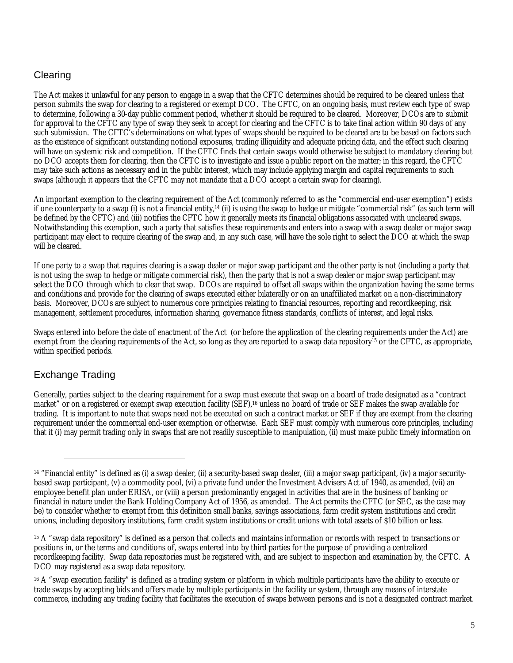# **Clearing**

The Act makes it unlawful for any person to engage in a swap that the CFTC determines should be required to be cleared unless that person submits the swap for clearing to a registered or exempt DCO. The CFTC, on an ongoing basis, must review each type of swap to determine, following a 30-day public comment period, whether it should be required to be cleared. Moreover, DCOs are to submit for approval to the CFTC any type of swap they seek to accept for clearing and the CFTC is to take final action within 90 days of any such submission. The CFTC's determinations on what types of swaps should be required to be cleared are to be based on factors such as the existence of significant outstanding notional exposures, trading illiquidity and adequate pricing data, and the effect such clearing will have on systemic risk and competition. If the CFTC finds that certain swaps would otherwise be subject to mandatory clearing but no DCO accepts them for clearing, then the CFTC is to investigate and issue a public report on the matter; in this regard, the CFTC may take such actions as necessary and in the public interest, which may include applying margin and capital requirements to such swaps (although it appears that the CFTC may not mandate that a DCO accept a certain swap for clearing).

An important exemption to the clearing requirement of the Act (commonly referred to as the "commercial end-user exemption") exists if one counterparty to a swap (i) is not a financial entity,<sup>14</sup> (ii) is using the swap to hedge or mitigate "commercial risk" (as such term will be defined by the CFTC) and (iii) notifies the CFTC how it generally meets its financial obligations associated with uncleared swaps. Notwithstanding this exemption, such a party that satisfies these requirements and enters into a swap with a swap dealer or major swap participant may elect to require clearing of the swap and, in any such case, will have the sole right to select the DCO at which the swap will be cleared.

If one party to a swap that requires clearing is a swap dealer or major swap participant and the other party is not (including a party that is not using the swap to hedge or mitigate commercial risk), then the party that is not a swap dealer or major swap participant may select the DCO through which to clear that swap. DCOs are required to offset all swaps within the organization having the same terms and conditions and provide for the clearing of swaps executed either bilaterally or on an unaffiliated market on a non-discriminatory basis. Moreover, DCOs are subject to numerous core principles relating to financial resources, reporting and recordkeeping, risk management, settlement procedures, information sharing, governance fitness standards, conflicts of interest, and legal risks.

Swaps entered into before the date of enactment of the Act (or before the application of the clearing requirements under the Act) are exempt from the clearing requirements of the Act, so long as they are reported to a swap data repository<sup>15</sup> or the CFTC, as appropriate, within specified periods.

# Exchange Trading

Generally, parties subject to the clearing requirement for a swap must execute that swap on a board of trade designated as a "contract market" or on a registered or exempt swap execution facility (SEF),<sup>16</sup> unless no board of trade or SEF makes the swap available for trading. It is important to note that swaps need not be executed on such a contract market or SEF if they are exempt from the clearing requirement under the commercial end-user exemption or otherwise. Each SEF must comply with numerous core principles, including that it (i) may permit trading only in swaps that are not readily susceptible to manipulation, (ii) must make public timely information on

<sup>14</sup> "Financial entity" is defined as (i) a swap dealer, (ii) a security-based swap dealer, (iii) a major swap participant, (iv) a major securitybased swap participant, (v) a commodity pool, (vi) a private fund under the Investment Advisers Act of 1940, as amended, (vii) an employee benefit plan under ERISA, or (viii) a person predominantly engaged in activities that are in the business of banking or financial in nature under the Bank Holding Company Act of 1956, as amended. The Act permits the CFTC (or SEC, as the case may be) to consider whether to exempt from this definition small banks, savings associations, farm credit system institutions and credit unions, including depository institutions, farm credit system institutions or credit unions with total assets of \$10 billion or less.

<sup>&</sup>lt;sup>15</sup> A "swap data repository" is defined as a person that collects and maintains information or records with respect to transactions or positions in, or the terms and conditions of, swaps entered into by third parties for the purpose of providing a centralized recordkeeping facility. Swap data repositories must be registered with, and are subject to inspection and examination by, the CFTC. A DCO may registered as a swap data repository.

<sup>&</sup>lt;sup>16</sup> A "swap execution facility" is defined as a trading system or platform in which multiple participants have the ability to execute or trade swaps by accepting bids and offers made by multiple participants in the facility or system, through any means of interstate commerce, including any trading facility that facilitates the execution of swaps between persons and is not a designated contract market.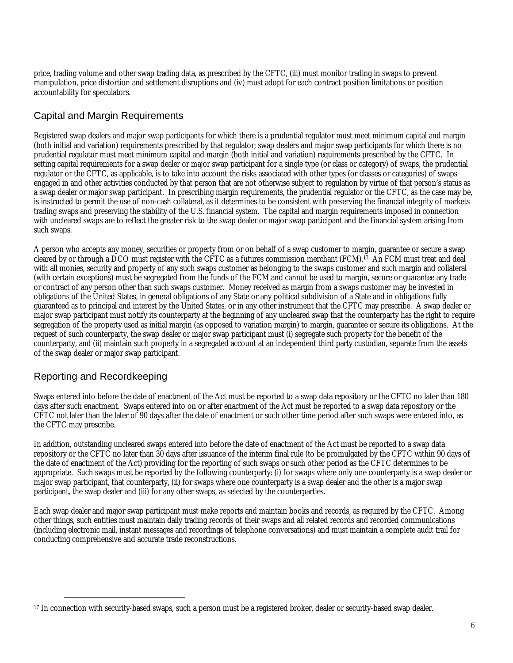price, trading volume and other swap trading data, as prescribed by the CFTC, (iii) must monitor trading in swaps to prevent manipulation, price distortion and settlement disruptions and (iv) must adopt for each contract position limitations or position accountability for speculators.

# Capital and Margin Requirements

Registered swap dealers and major swap participants for which there is a prudential regulator must meet minimum capital and margin (both initial and variation) requirements prescribed by that regulator; swap dealers and major swap participants for which there is no prudential regulator must meet minimum capital and margin (both initial and variation) requirements prescribed by the CFTC. In setting capital requirements for a swap dealer or major swap participant for a single type (or class or category) of swaps, the prudential regulator or the CFTC, as applicable, is to take into account the risks associated with other types (or classes or categories) of swaps engaged in and other activities conducted by that person that are not otherwise subject to regulation by virtue of that person's status as a swap dealer or major swap participant. In prescribing margin requirements, the prudential regulator or the CFTC, as the case may be, is instructed to permit the use of non-cash collateral, as it determines to be consistent with preserving the financial integrity of markets trading swaps and preserving the stability of the U.S. financial system. The capital and margin requirements imposed in connection with uncleared swaps are to reflect the greater risk to the swap dealer or major swap participant and the financial system arising from such swaps.

A person who accepts any money, securities or property from or on behalf of a swap customer to margin, guarantee or secure a swap cleared by or through a DCO must register with the CFTC as a futures commission merchant (FCM).<sup>17</sup> An FCM must treat and deal with all monies, security and property of any such swaps customer as belonging to the swaps customer and such margin and collateral (with certain exceptions) must be segregated from the funds of the FCM and cannot be used to margin, secure or guarantee any trade or contract of any person other than such swaps customer. Money received as margin from a swaps customer may be invested in obligations of the United States, in general obligations of any State or any political subdivision of a State and in obligations fully guaranteed as to principal and interest by the United States, or in any other instrument that the CFTC may prescribe. A swap dealer or major swap participant must notify its counterparty at the beginning of any uncleared swap that the counterparty has the right to require segregation of the property used as initial margin (as opposed to variation margin) to margin, guarantee or secure its obligations. At the request of such counterparty, the swap dealer or major swap participant must (i) segregate such property for the benefit of the counterparty, and (ii) maintain such property in a segregated account at an independent third party custodian, separate from the assets of the swap dealer or major swap participant.

# Reporting and Recordkeeping

Swaps entered into before the date of enactment of the Act must be reported to a swap data repository or the CFTC no later than 180 days after such enactment. Swaps entered into on or after enactment of the Act must be reported to a swap data repository or the CFTC not later than the later of 90 days after the date of enactment or such other time period after such swaps were entered into, as the CFTC may prescribe.

In addition, outstanding uncleared swaps entered into before the date of enactment of the Act must be reported to a swap data repository or the CFTC no later than 30 days after issuance of the interim final rule (to be promulgated by the CFTC within 90 days of the date of enactment of the Act) providing for the reporting of such swaps or such other period as the CFTC determines to be appropriate. Such swaps must be reported by the following counterparty: (i) for swaps where only one counterparty is a swap dealer or major swap participant, that counterparty, (ii) for swaps where one counterparty is a swap dealer and the other is a major swap participant, the swap dealer and (iii) for any other swaps, as selected by the counterparties.

Each swap dealer and major swap participant must make reports and maintain books and records, as required by the CFTC. Among other things, such entities must maintain daily trading records of their swaps and all related records and recorded communications (including electronic mail, instant messages and recordings of telephone conversations) and must maintain a complete audit trail for conducting comprehensive and accurate trade reconstructions.

<sup>17</sup> In connection with security-based swaps, such a person must be a registered broker, dealer or security-based swap dealer.